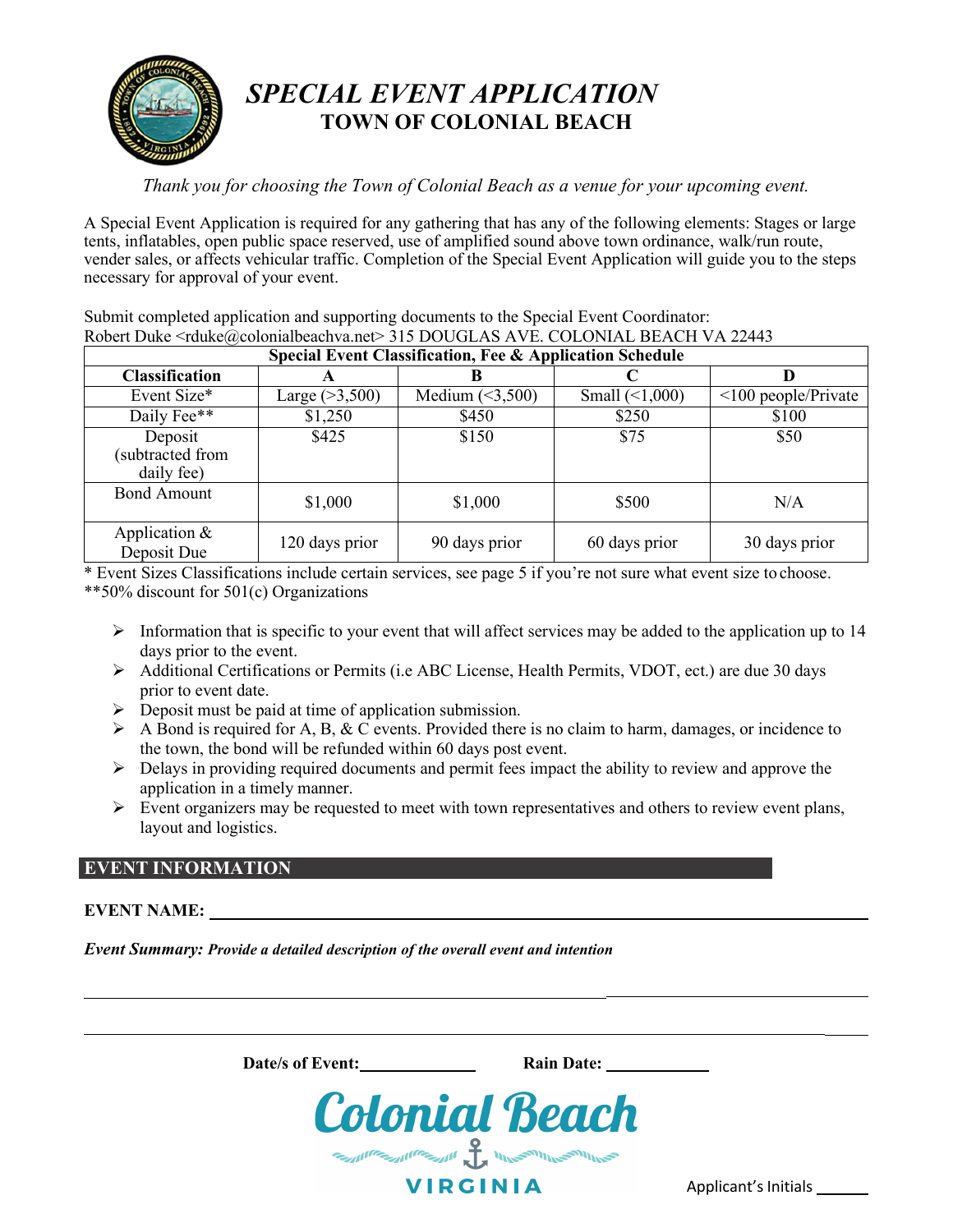

# *SPECIAL EVENT APPLICATION* **TOWN OF COLONIAL BEACH**

*Thank you for choosing the Town of Colonial Beach as a venue for your upcoming event.* 

A Special Event Application is required for any gathering that has any of the following elements: Stages or large tents, inflatables, open public space reserved, use of amplified sound above town ordinance, walk/run route, vender sales, or affects vehicular traffic. Completion of the Special Event Application will guide you to the steps necessary for approval of your event.

Submit completed application and supporting documents to the Special Event Coordinator: Robert Duke <rduke@colonialbeachva.net> 315 DOUGLAS AVE. COLONIAL BEACH VA 22443

| Special Event Classification, Fee & Application Schedule |                  |                      |                      |                           |  |  |  |
|----------------------------------------------------------|------------------|----------------------|----------------------|---------------------------|--|--|--|
| <b>Classification</b>                                    | A                |                      |                      |                           |  |  |  |
| Event Size*                                              | Large $(>3,500)$ | Medium $(\leq3,500)$ | Small $(\leq 1,000)$ | $\leq$ 100 people/Private |  |  |  |
| Daily Fee**                                              | \$1,250          | \$450                | \$250                | \$100                     |  |  |  |
| Deposit<br>(subtracted from<br>daily fee)                | \$425            | \$150                | \$75                 | \$50                      |  |  |  |
| <b>Bond Amount</b>                                       | \$1,000          | \$1,000              | \$500                | N/A                       |  |  |  |
| Application &<br>Deposit Due                             | 120 days prior   | 90 days prior        | 60 days prior        | 30 days prior             |  |  |  |

\* Event Sizes Classifications include certain services, see page 5 if you're not sure what event size to choose. \*\*50% discount for 501(c) Organizations

- Information that is specific to your event that will affect services may be added to the application up to  $14$ days prior to the event.
- $\triangleright$  Additional Certifications or Permits (i.e ABC License, Health Permits, VDOT, ect.) are due 30 days prior to event date.
- $\triangleright$  Deposit must be paid at time of application submission.
- $\triangleright$  A Bond is required for A, B, & C events. Provided there is no claim to harm, damages, or incidence to the town, the bond will be refunded within 60 days post event.
- $\triangleright$  Delays in providing required documents and permit fees impact the ability to review and approve the application in a timely manner.
- $\triangleright$  Event organizers may be requested to meet with town representatives and others to review event plans, layout and logistics.

## **EVENT INFORMATION**

## **EVENT NAME:**

*Event Summary: Provide a detailed description of the overall event and intention*

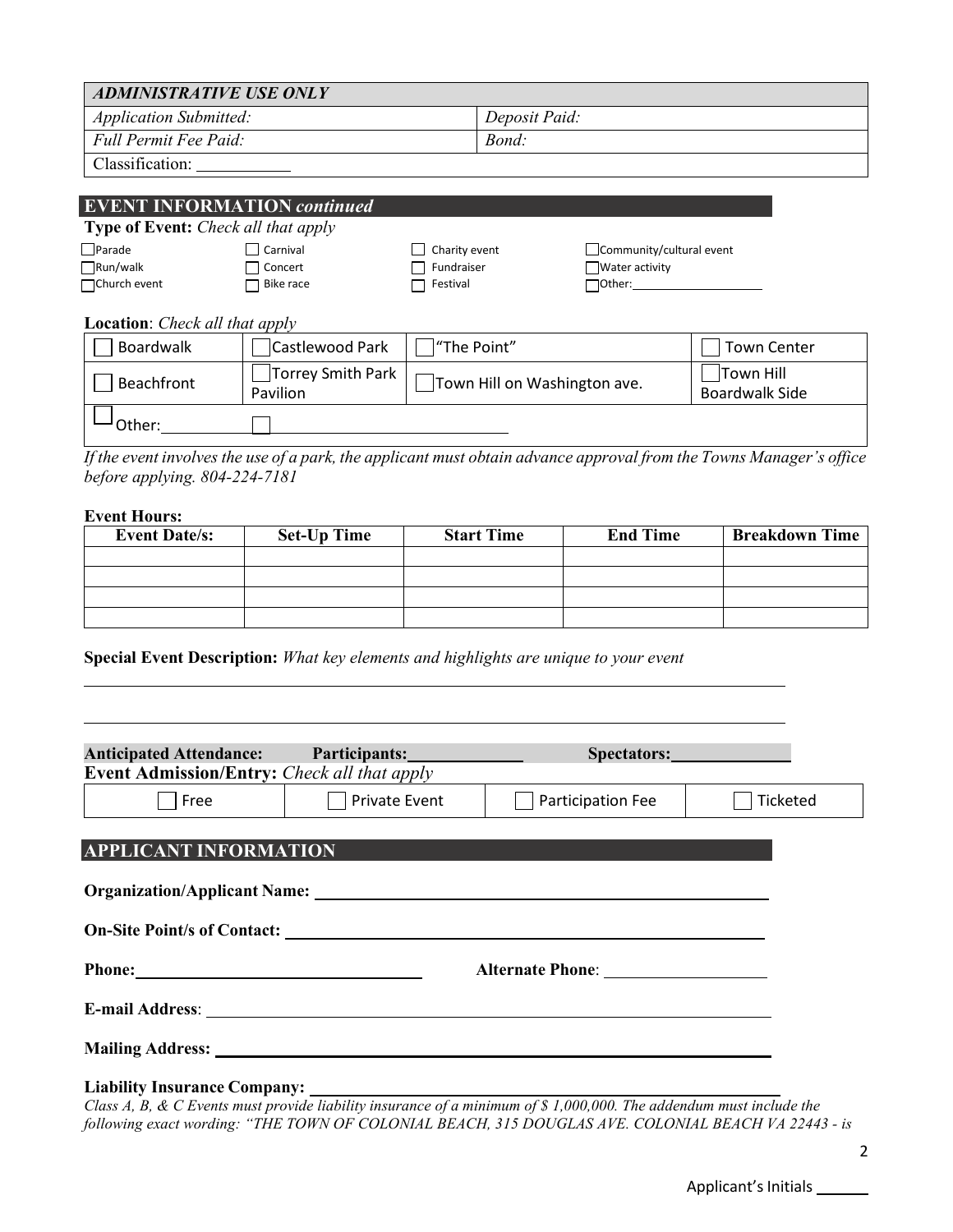| <b>ADMINISTRATIVE USE ONLY</b>                                                                                                              |                                    |                              |  |                                    |  |
|---------------------------------------------------------------------------------------------------------------------------------------------|------------------------------------|------------------------------|--|------------------------------------|--|
| <b>Application Submitted:</b>                                                                                                               |                                    | Deposit Paid:                |  |                                    |  |
| Full Permit Fee Paid:                                                                                                                       |                                    | Bond:                        |  |                                    |  |
| Classification:                                                                                                                             |                                    |                              |  |                                    |  |
| <b>Type of Event:</b> Check all that apply                                                                                                  | <b>EVENT INFORMATION continued</b> |                              |  |                                    |  |
| $\Box$ Parade<br>Carnival<br>Charity event<br>Community/cultural event<br>$\Box$ Run/walk<br>$\Box$ Concert<br>Fundraiser<br>Water activity |                                    |                              |  |                                    |  |
| □Church event<br>Bike race<br>Festival                                                                                                      |                                    |                              |  |                                    |  |
| <b>Location:</b> Check all that apply                                                                                                       |                                    |                              |  |                                    |  |
| Boardwalk                                                                                                                                   | Castlewood Park                    | "The Point"                  |  | <b>Town Center</b>                 |  |
| Beachfront                                                                                                                                  | Torrey Smith Park<br>Pavilion      | Town Hill on Washington ave. |  | Town Hill<br><b>Boardwalk Side</b> |  |
| Other:                                                                                                                                      |                                    |                              |  |                                    |  |

*If the event involves the use of a park, the applicant must obtain advance approval from the Towns Manager's office before applying. 804-224-7181* 

#### **Event Hours:**

| <b>Event Date/s:</b> | <b>Set-Up Time</b> | <b>Start Time</b> | <b>End Time</b> | <b>Breakdown Time</b> |
|----------------------|--------------------|-------------------|-----------------|-----------------------|
|                      |                    |                   |                 |                       |
|                      |                    |                   |                 |                       |
|                      |                    |                   |                 |                       |
|                      |                    |                   |                 |                       |

**Special Event Description:** *What key elements and highlights are unique to your event* 

| Anticipated Attendance: Participants: National Contract of Anticipants: |                                                  | Spectators: Note a series and the series of the series of the series of the series of the series of the series of the series of the series of the series of the series of the series of the series of the series of the series       |  |  |  |  |
|-------------------------------------------------------------------------|--------------------------------------------------|--------------------------------------------------------------------------------------------------------------------------------------------------------------------------------------------------------------------------------------|--|--|--|--|
| <b>Event Admission/Entry:</b> Check all that apply                      |                                                  |                                                                                                                                                                                                                                      |  |  |  |  |
| Free                                                                    | <b>Private Event</b><br><b>Participation Fee</b> |                                                                                                                                                                                                                                      |  |  |  |  |
|                                                                         |                                                  |                                                                                                                                                                                                                                      |  |  |  |  |
| <b>APPLICANT INFORMATION</b>                                            |                                                  |                                                                                                                                                                                                                                      |  |  |  |  |
|                                                                         |                                                  |                                                                                                                                                                                                                                      |  |  |  |  |
|                                                                         |                                                  |                                                                                                                                                                                                                                      |  |  |  |  |
|                                                                         |                                                  | Alternate Phone:                                                                                                                                                                                                                     |  |  |  |  |
|                                                                         |                                                  | E-mail Address: <u>New York and Separate and Separate and Separate and Separate and Separate and Separate and Separate and Separate and Separate and Separate and Separate and Separate and Separate and Separate and Separate a</u> |  |  |  |  |
|                                                                         |                                                  |                                                                                                                                                                                                                                      |  |  |  |  |
|                                                                         |                                                  | Class A, B, & C Events must provide liability insurance of a minimum of \$1,000,000. The addendum must include the                                                                                                                   |  |  |  |  |

*Class A, B, & C Events must provide liability insurance of a minimum of \$ 1,000,000. The addendum must include the following exact wording: "THE TOWN OF COLONIAL BEACH, 315 DOUGLAS AVE. COLONIAL BEACH VA 22443 - is*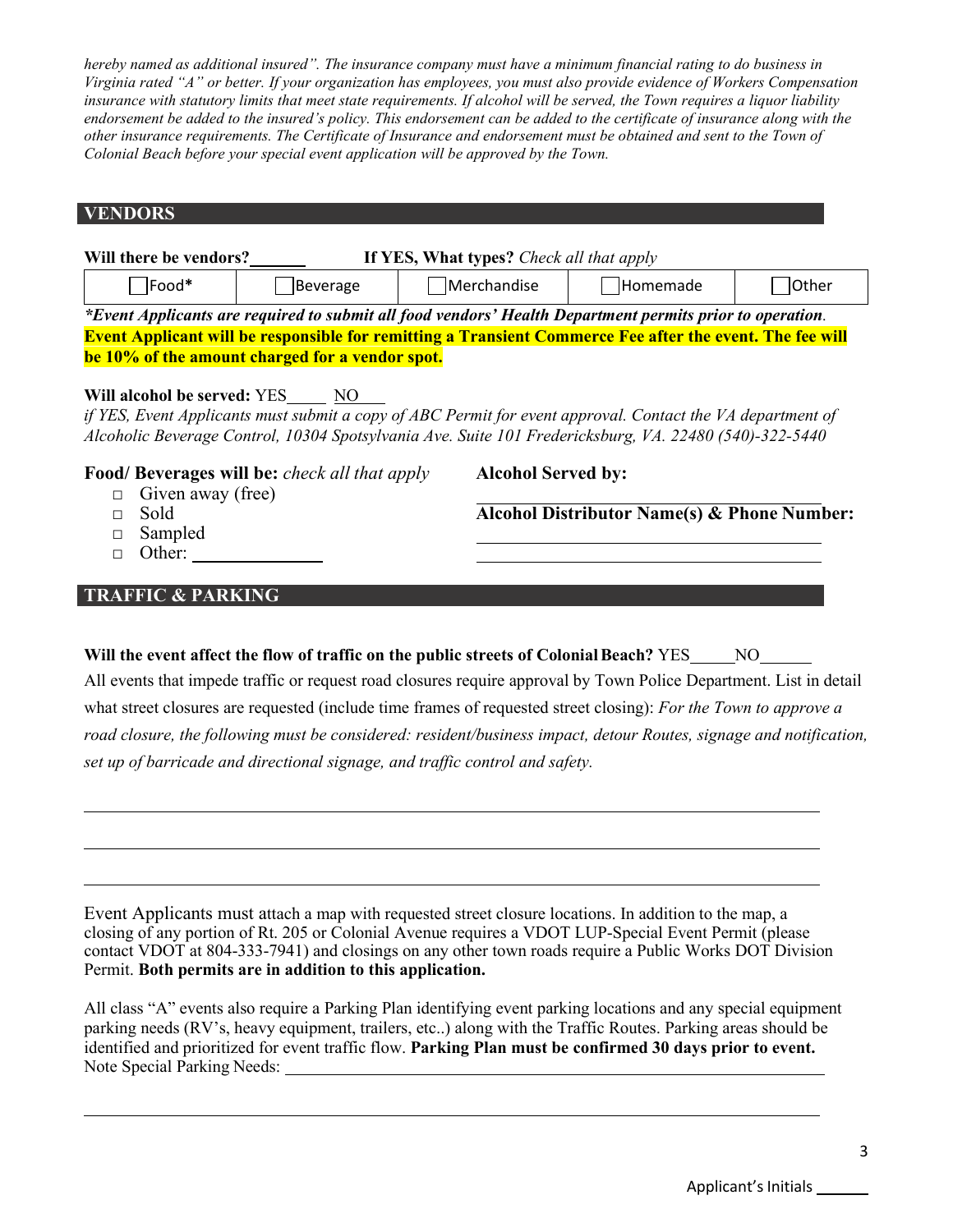*hereby named as additional insured". The insurance company must have a minimum financial rating to do business in Virginia rated "A" or better. If your organization has employees, you must also provide evidence of Workers Compensation insurance with statutory limits that meet state requirements. If alcohol will be served, the Town requires a liquor liability endorsement be added to the insured's policy. This endorsement can be added to the certificate of insurance along with the other insurance requirements. The Certificate of Insurance and endorsement must be obtained and sent to the Town of Colonial Beach before your special event application will be approved by the Town.*

## **VENDORS**

| If YES, What types? Check all that apply<br>Will there be vendors?                                       |  |                                                                                                                                                                                                                      |                                             |  |  |  |  |
|----------------------------------------------------------------------------------------------------------|--|----------------------------------------------------------------------------------------------------------------------------------------------------------------------------------------------------------------------|---------------------------------------------|--|--|--|--|
| Food*<br>Merchandise<br>Homemade<br>Other<br>Beverage                                                    |  |                                                                                                                                                                                                                      |                                             |  |  |  |  |
| *Event Applicants are required to submit all food vendors' Health Department permits prior to operation. |  |                                                                                                                                                                                                                      |                                             |  |  |  |  |
|                                                                                                          |  | <b>Event Applicant will be responsible for remitting a Transient Commerce Fee after the event. The fee will</b>                                                                                                      |                                             |  |  |  |  |
| be 10% of the amount charged for a vendor spot.                                                          |  |                                                                                                                                                                                                                      |                                             |  |  |  |  |
|                                                                                                          |  | if YES, Event Applicants must submit a copy of ABC Permit for event approval. Contact the VA department of<br>Alcoholic Beverage Control, 10304 Spotsylvania Ave. Suite 101 Fredericksburg, VA. 22480 (540)-322-5440 |                                             |  |  |  |  |
| Food/Beverages will be: check all that apply<br>Given away (free)                                        |  | <b>Alcohol Served by:</b>                                                                                                                                                                                            |                                             |  |  |  |  |
| Sold                                                                                                     |  |                                                                                                                                                                                                                      | Alcohol Distributor Name(s) & Phone Number: |  |  |  |  |
| Sampled                                                                                                  |  |                                                                                                                                                                                                                      |                                             |  |  |  |  |
| Other:                                                                                                   |  |                                                                                                                                                                                                                      |                                             |  |  |  |  |

## **TRAFFIC & PARKING**

| Will the event affect the flow of traffic on the public streets of Colonial Beach? YES<br>NO                       |
|--------------------------------------------------------------------------------------------------------------------|
| All events that impede traffic or request road closures require approval by Town Police Department. List in detail |
| what street closures are requested (include time frames of requested street closing): For the Town to approve a    |
| road closure, the following must be considered: resident/business impact, detour Routes, signage and notification, |

*set up of barricade and directional signage, and traffic control and safety.* 

Event Applicants must attach a map with requested street closure locations. In addition to the map, a closing of any portion of Rt. 205 or Colonial Avenue requires a VDOT LUP-Special Event Permit (please contact VDOT at 804-333-7941) and closings on any other town roads require a Public Works DOT Division Permit. **Both permits are in addition to this application.** 

All class "A" events also require a Parking Plan identifying event parking locations and any special equipment parking needs (RV's, heavy equipment, trailers, etc..) along with the Traffic Routes. Parking areas should be identified and prioritized for event traffic flow. **Parking Plan must be confirmed 30 days prior to event.** Note Special Parking Needs: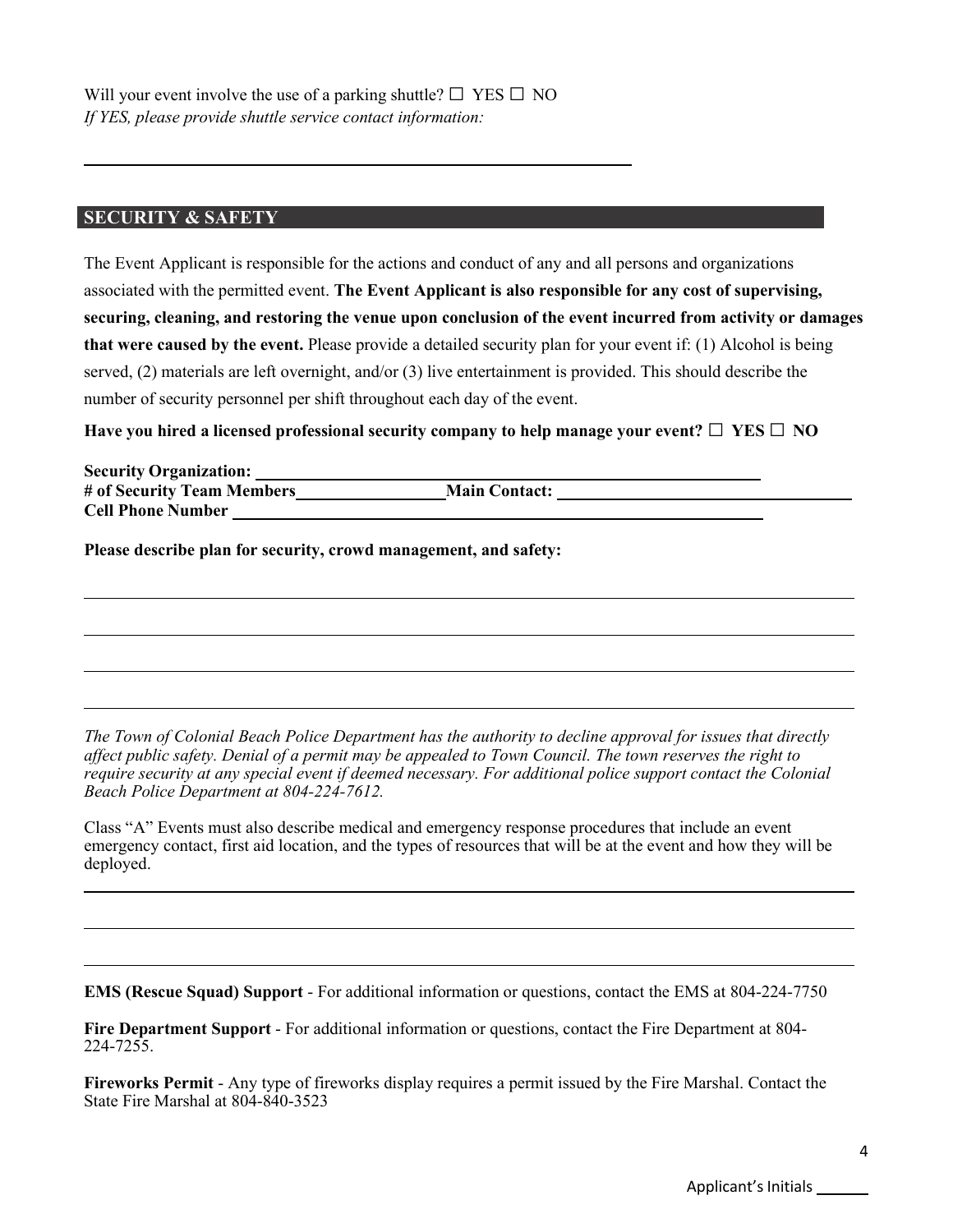#### **SECURITY & SAFETY**

The Event Applicant is responsible for the actions and conduct of any and all persons and organizations associated with the permitted event. **The Event Applicant is also responsible for any cost of supervising, securing, cleaning, and restoring the venue upon conclusion of the event incurred from activity or damages that were caused by the event.** Please provide a detailed security plan for your event if: (1) Alcohol is being served, (2) materials are left overnight, and/or (3) live entertainment is provided. This should describe the number of security personnel per shift throughout each day of the event.

**Have you hired a licensed professional security company to help manage your event? □ YES □ NO**

| <b>Security Organization:</b> |                      |  |
|-------------------------------|----------------------|--|
| # of Security Team Members    | <b>Main Contact:</b> |  |
| <b>Cell Phone Number</b>      |                      |  |

**Please describe plan for security, crowd management, and safety:**

*The Town of Colonial Beach Police Department has the authority to decline approval for issues that directly affect public safety. Denial of a permit may be appealed to Town Council. The town reserves the right to require security at any special event if deemed necessary. For additional police support contact the Colonial Beach Police Department at 804-224-7612.* 

Class "A" Events must also describe medical and emergency response procedures that include an event emergency contact, first aid location, and the types of resources that will be at the event and how they will be deployed.

**EMS (Rescue Squad) Support** - For additional information or questions, contact the EMS at 804-224-7750

**Fire Department Support** - For additional information or questions, contact the Fire Department at 804- 224-7255.

**Fireworks Permit** - Any type of fireworks display requires a permit issued by the Fire Marshal. Contact the State Fire Marshal at 804-840-3523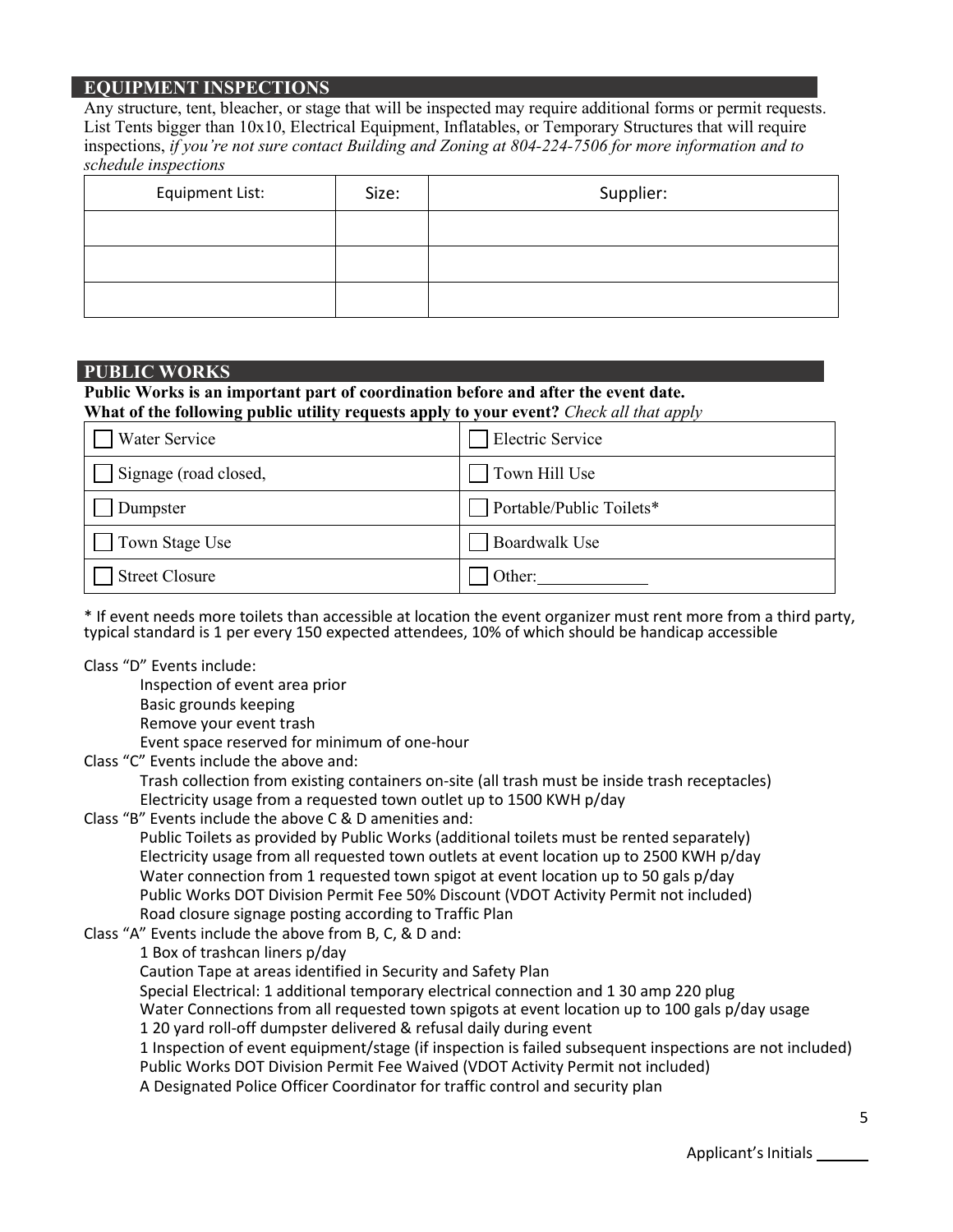## **EQUIPMENT INSPECTIONS**

Any structure, tent, bleacher, or stage that will be inspected may require additional forms or permit requests. List Tents bigger than 10x10, Electrical Equipment, Inflatables, or Temporary Structures that will require inspections, *if you're not sure contact Building and Zoning at 804-224-7506 for more information and to schedule inspections*

| <b>Equipment List:</b> | Size: | Supplier: |
|------------------------|-------|-----------|
|                        |       |           |
|                        |       |           |
|                        |       |           |

#### **PUBLIC WORKS**

## **Public Works is an important part of coordination before and after the event date.**

**What of the following public utility requests apply to your event?** *Check all that apply* 

| Water Service         | <b>Electric Service</b>  |
|-----------------------|--------------------------|
| Signage (road closed, | Town Hill Use            |
| Dumpster              | Portable/Public Toilets* |
| Town Stage Use        | <b>Boardwalk Use</b>     |
| <b>Street Closure</b> | Other:                   |

\* If event needs more toilets than accessible at location the event organizer must rent more from a third party, typical standard is 1 per every 150 expected attendees, 10% of which should be handicap accessible

#### Class "D" Events include:

Inspection of event area prior Basic grounds keeping Remove your event trash Event space reserved for minimum of one-hour

Class "C" Events include the above and:

Trash collection from existing containers on-site (all trash must be inside trash receptacles) Electricity usage from a requested town outlet up to 1500 KWH p/day

Class "B" Events include the above C & D amenities and:

Public Toilets as provided by Public Works (additional toilets must be rented separately) Electricity usage from all requested town outlets at event location up to 2500 KWH p/day Water connection from 1 requested town spigot at event location up to 50 gals p/day Public Works DOT Division Permit Fee 50% Discount (VDOT Activity Permit not included) Road closure signage posting according to Traffic Plan

#### Class "A" Events include the above from B, C, & D and:

1 Box of trashcan liners p/day

Caution Tape at areas identified in Security and Safety Plan

Special Electrical: 1 additional temporary electrical connection and 1 30 amp 220 plug

Water Connections from all requested town spigots at event location up to 100 gals p/day usage 1 20 yard roll-off dumpster delivered & refusal daily during event

1 Inspection of event equipment/stage (if inspection is failed subsequent inspections are not included) Public Works DOT Division Permit Fee Waived (VDOT Activity Permit not included)

A Designated Police Officer Coordinator for traffic control and security plan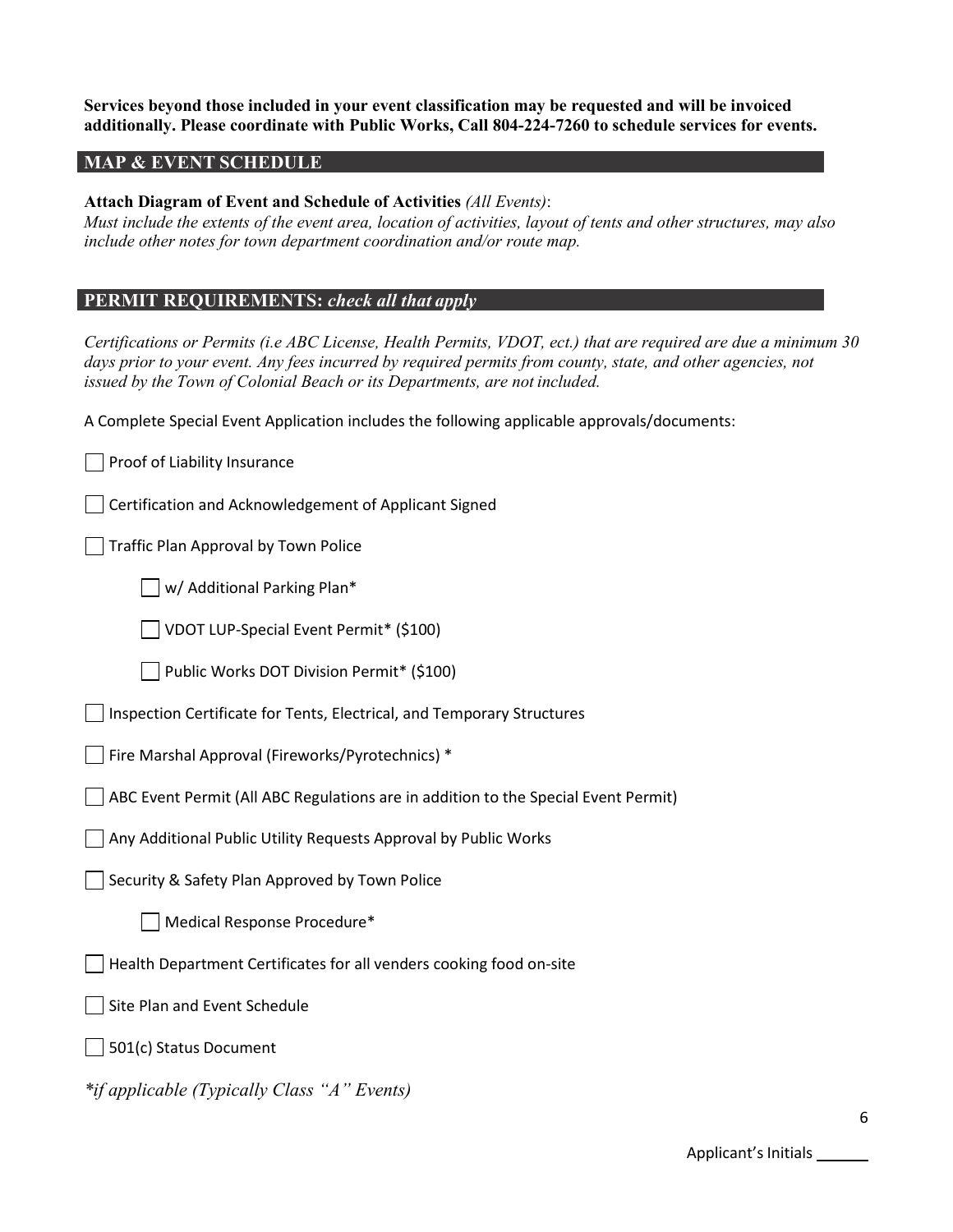#### **Services beyond those included in your event classification may be requested and will be invoiced additionally. Please coordinate with Public Works, Call 804-224-7260 to schedule services for events.**

#### **MAP & EVENT SCHEDULE**

#### **Attach Diagram of Event and Schedule of Activities** *(All Events)*:

*Must include the extents of the event area, location of activities, layout of tents and other structures, may also include other notes for town department coordination and/or route map.* 

#### **PERMIT REQUIREMENTS:** *check all that apply*

*Certifications or Permits (i.e ABC License, Health Permits, VDOT, ect.) that are required are due a minimum 30*  days prior to your event. Any fees incurred by required permits from county, state, and other agencies, not *issued by the Town of Colonial Beach or its Departments, are not included.* 

A Complete Special Event Application includes the following applicable approvals/documents:

Proof of Liability Insurance

Certification and Acknowledgement of Applicant Signed

Traffic Plan Approval by Town Police

| | w/ Additional Parking Plan\*

VDOT LUP-Special Event Permit\* (\$100)

Public Works DOT Division Permit\* (\$100)

Inspection Certificate for Tents, Electrical, and Temporary Structures

Fire Marshal Approval (Fireworks/Pyrotechnics) \*

ABC Event Permit (All ABC Regulations are in addition to the Special Event Permit)

Any Additional Public Utility Requests Approval by Public Works

Security & Safety Plan Approved by Town Police

Medical Response Procedure\*

Health Department Certificates for all venders cooking food on-site

Site Plan and Event Schedule

501(c) Status Document

*\*if applicable (Typically Class "A" Events)*

Applicant's Initials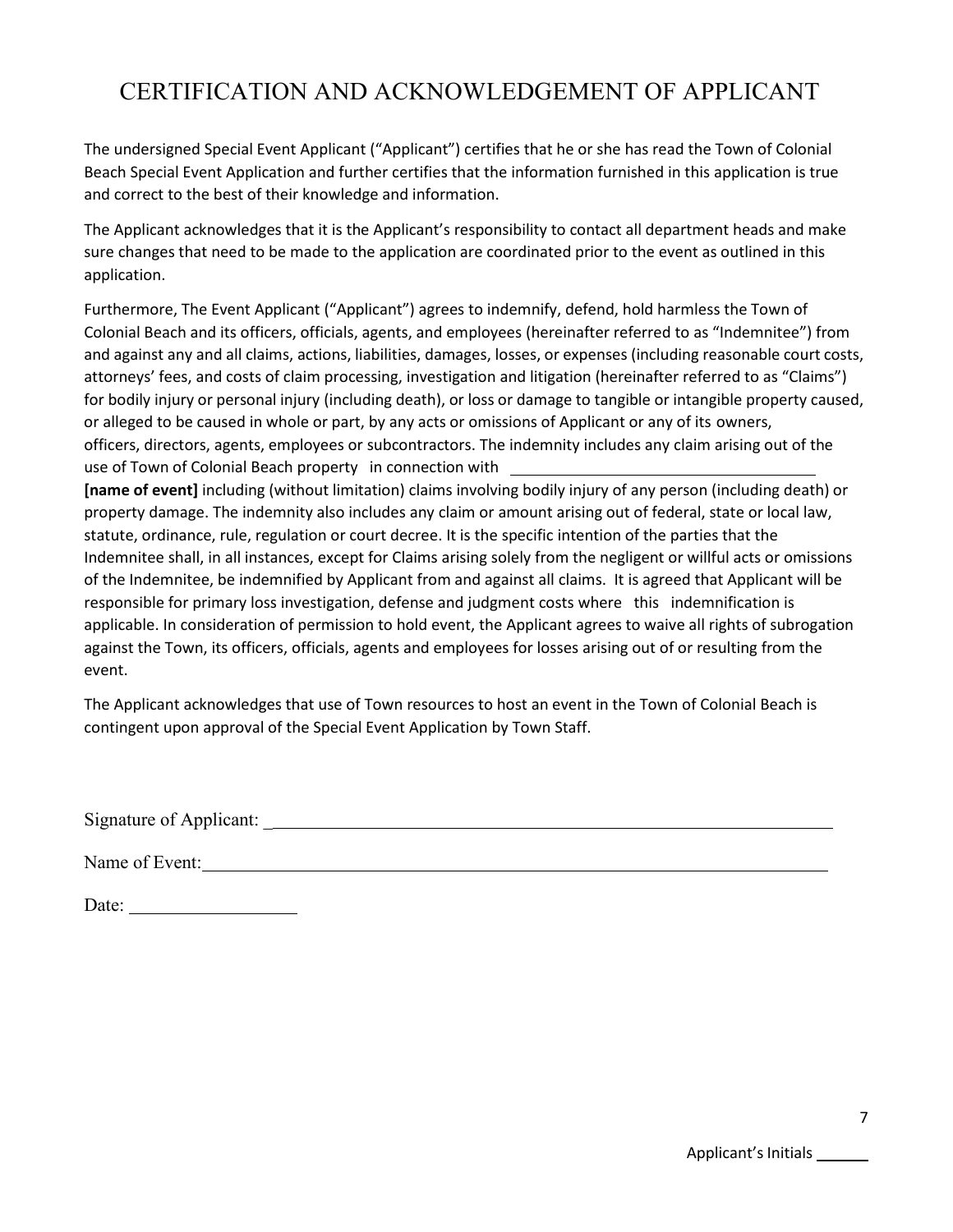# CERTIFICATION AND ACKNOWLEDGEMENT OF APPLICANT

The undersigned Special Event Applicant ("Applicant") certifies that he or she has read the Town of Colonial Beach Special Event Application and further certifies that the information furnished in this application is true and correct to the best of their knowledge and information.

The Applicant acknowledges that it is the Applicant's responsibility to contact all department heads and make sure changes that need to be made to the application are coordinated prior to the event as outlined in this application.

Furthermore, The Event Applicant ("Applicant") agrees to indemnify, defend, hold harmless the Town of Colonial Beach and its officers, officials, agents, and employees (hereinafter referred to as "Indemnitee") from and against any and all claims, actions, liabilities, damages, losses, or expenses (including reasonable court costs, attorneys' fees, and costs of claim processing, investigation and litigation (hereinafter referred to as "Claims") for bodily injury or personal injury (including death), or loss or damage to tangible or intangible property caused, or alleged to be caused in whole or part, by any acts or omissions of Applicant or any of its owners, officers, directors, agents, employees or subcontractors. The indemnity includes any claim arising out of the use of Town of Colonial Beach property in connection with

**[name of event]** including (without limitation) claims involving bodily injury of any person (including death) or property damage. The indemnity also includes any claim or amount arising out of federal, state or local law, statute, ordinance, rule, regulation or court decree. It is the specific intention of the parties that the Indemnitee shall, in all instances, except for Claims arising solely from the negligent or willful acts or omissions of the Indemnitee, be indemnified by Applicant from and against all claims. It is agreed that Applicant will be responsible for primary loss investigation, defense and judgment costs where this indemnification is applicable. In consideration of permission to hold event, the Applicant agrees to waive all rights of subrogation against the Town, its officers, officials, agents and employees for losses arising out of or resulting from the event.

The Applicant acknowledges that use of Town resources to host an event in the Town of Colonial Beach is contingent upon approval of the Special Event Application by Town Staff.

Signature of Applicant: \_

Name of Event:

Date: